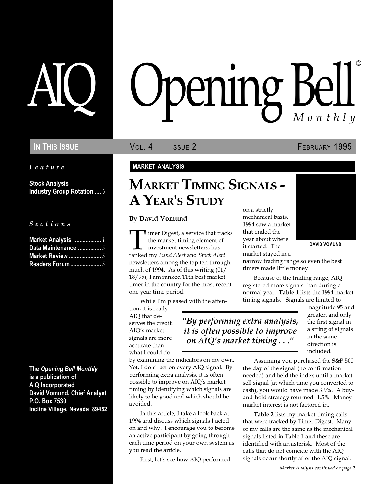Feature

Stock Analysis Industry Group Rotation .... 6

S e c t i o n s

| Market Analysis  1      |  |
|-------------------------|--|
| Data Maintenance 5      |  |
| <b>Market Review </b> 5 |  |
| <b>Readers Forum</b> 5  |  |

The Opening Bell Monthly is a publication of AIQ Incorporated David Vomund, Chief Analyst P.O. Box 7530 Incline Village, Nevada 89452

# pening Bel Monthly ®

IN THIS ISSUE **VOL. 4** ISSUE 2 **FEBRUARY 1995** 

#### MARKET ANALYSIS

## MARKET TIMING SIGNALS - A YEAR'S STUDY

#### By David Vomund

Imer Digest, a service that tracks<br>the market timing element of<br>investment newsletters, has<br>ranked my *Fund Alert* and *Stock Alert* the market timing element of investment newsletters, has newsletters among the top ten through much of 1994. As of this writing (01/ 18/95), I am ranked 11th best market timer in the country for the most recent one year time period.

While I'm pleased with the atten-

tion, it is really AIQ that deserves the credit. AIQ's market signals are more accurate than what I could do

By performing extra analysis, it is often possible to improve on  $AIO$ 's market timing  $\dots$ "

by examining the indicators on my own. Yet, I don't act on every AIQ signal. By performing extra analysis, it is often possible to improve on AIQ's market timing by identifying which signals are likely to be good and which should be avoided.

In this article, I take a look back at 1994 and discuss which signals I acted on and why. I encourage you to become an active participant by going through each time period on your own system as you read the article.

First, let's see how AIQ performed

on a strictly mechanical basis. 1994 saw a market that ended the year about where it started. The market stayed in a narrow trading range so even the best

timers made little money.



DAVID VOMUND

normal year. Table 1 lists the 1994 market timing signals. Signals are limited to magnitude 95 and greater, and only the first signal in a string of signals in the same direction is

included.

Assuming you purchased the S&P 500 the day of the signal (no confirmation needed) and held the index until a market sell signal (at which time you converted to cash), you would have made 3.9%. A buyand-hold strategy returned -1.5%. Money market interest is not factored in.

Because of the trading range, AIQ registered more signals than during a

Table 2 lists my market timing calls that were tracked by Timer Digest. Many of my calls are the same as the mechanical signals listed in Table 1 and these are identified with an asterisk. Most of the calls that do not coincide with the AIQ signals occur shortly after the AIQ signal.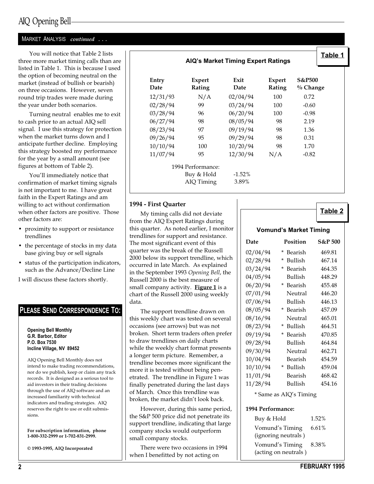### AIQ Opening Bell

#### MARKET ANALYSIS continued ...

You will notice that Table 2 lists three more market timing calls than are listed in Table 1. This is because I used the option of becoming neutral on the market (instead of bullish or bearish) on three occasions. However, seven round trip trades were made during the year under both scenarios.

Turning neutral enables me to exit to cash prior to an actual AIQ sell signal. I use this strategy for protection when the market turns down and I anticipate further decline. Employing this strategy boosted my performance for the year by a small amount (see figures at bottom of Table 2).

You'll immediately notice that confirmation of market timing signals is not important to me. I have great faith in the Expert Ratings and am willing to act without confirmation when other factors are positive. Those other factors are:

- proximity to support or resistance trendlines
- the percentage of stocks in my data base giving buy or sell signals
- status of the participation indicators, such as the Advance/Decline Line

I will discuss these factors shortly.

#### PLEASE SEND CORRESPONDENCE TO:

Opening Bell Monthly G.R. Barbor, Editor P.O. Box 7530 Incline Village, NV 89452

AIQ Opening Bell Monthly does not intend to make trading recommendations, nor do we publish, keep or claim any track records. It is designed as a serious tool to aid investors in their trading decisions through the use of AIQ software and an increased familiarity with technical indicators and trading strategies. AIQ reserves the right to use or edit submissions.

For subscription information, phone 1-800-332-2999 or 1-702-831-2999.

© 1993-1995, AIQ Incorporated

AIQ's Market Timing Expert Ratings



| Entry<br>Date | Expert<br>Rating  | Exit<br>Date | Expert<br>Rating | <b>S&amp;P500</b><br>$\%$ Change |
|---------------|-------------------|--------------|------------------|----------------------------------|
| 12/31/93      | N/A               | 02/04/94     | 100              | 0.72                             |
| 02/28/94      | 99                | 03/24/94     | 100              | $-0.60$                          |
| 03/28/94      | 96                | 06/20/94     | 100              | $-0.98$                          |
| 06/27/94      | 98                | 08/05/94     | 98               | 2.19                             |
| 08/23/94      | 97                | 09/19/94     | 98               | 1.36                             |
| 09/26/94      | 95                | 09/29/94     | 98               | 0.31                             |
| 10/10/94      | 100               | 10/20/94     | 98               | 1.70                             |
| 11/07/94      | 95                | 12/30/94     | N/A              | $-0.82$                          |
|               | 1994 Performance: |              |                  |                                  |
|               | Buy & Hold        | $-1.52%$     |                  |                                  |
|               | AIQ Timing        | 3.89%        |                  |                                  |

#### 1994 - First Quarter

My timing calls did not deviate from the AIQ Expert Ratings during this quarter. As noted earlier, I monitor trendlines for support and resistance. The most significant event of this quarter was the break of the Russell 2000 below its support trendline, which occurred in late March. As explained in the September 1993 Opening Bell, the Russell 2000 is the best measure of small company activity. Figure 1 is a chart of the Russell 2000 using weekly data.

The support trendline drawn on this weekly chart was tested on several occasions (see arrows) but was not broken. Short term traders often prefer to draw trendlines on daily charts while the weekly chart format presents a longer term picture. Remember, a trendline becomes more significant the more it is tested without being penetrated. The trendline in Figure 1 was finally penetrated during the last days of March. Once this trendline was broken, the market didn't look back.

However, during this same period, the S&P 500 price did not penetrate its support trendline, indicating that large company stocks would outperform small company stocks.

There were two occasions in 1994 when I benefitted by not acting on

Table 2

|          | <b>Vomund's Market Timing</b> |                    |
|----------|-------------------------------|--------------------|
| Date     | <b>Position</b>               | <b>S&amp;P 500</b> |
| 02/04/94 | *<br>Bearish                  | 469.81             |
| 02/28/94 | $\ast$<br><b>Bullish</b>      | 467.14             |
| 03/24/94 | $\star$<br>Bearish            | 464.35             |
| 04/05/94 | <b>Bullish</b>                | 448.29             |
| 06/20/94 | * Bearish                     | 455.48             |
| 07/01/94 | Neutral                       | 446.20             |
| 07/06/94 | <b>Bullish</b>                | 446.13             |
| 08/05/94 | * Bearish                     | 457.09             |
| 08/16/94 | Neutral                       | 465.01             |
| 08/23/94 | * Bullish                     | 464.51             |
| 09/19/94 | $\star$<br>Bearish            | 470.85             |
| 09/28/94 | <b>Bullish</b>                | 464.84             |
| 09/30/94 | Neutral                       | 462.71             |
| 10/04/94 | Bearish                       | 454.59             |
| 10/10/94 | $^{\star}$<br><b>Bullish</b>  | 459.04             |
| 11/01/94 | Bearish                       | 468.42             |
| 11/28/94 | <b>Bullish</b>                | 454.16             |
|          | * Same as AIQ's Timing        |                    |

#### 1994 Performance:

| Buy & Hold           | 1.52%    |
|----------------------|----------|
| Vomund's Timing      | $6.61\%$ |
| (ignoring neutrals)  |          |
| Vomund's Timing      | 8.38%    |
| (acting on neutrals) |          |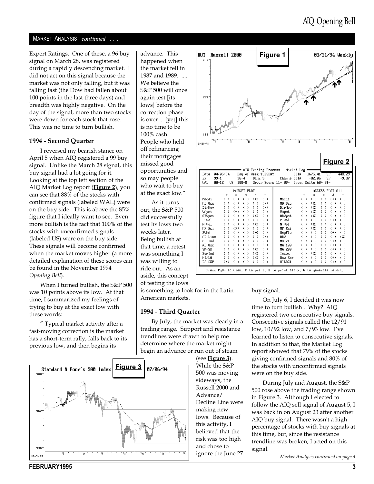#### MARKET ANALYSIS continued ...

Expert Ratings. One of these, a 96 buy signal on March 28, was registered during a rapidly descending market. I did not act on this signal because the market was not only falling, but it was falling fast (the Dow had fallen about 100 points in the last three days) and breadth was highly negative. On the day of the signal, more than two stocks were down for each stock that rose. This was no time to turn bullish.

#### 1994 - Second Quarter

I reversed my bearish stance on April 5 when AIQ registered a 99 buy signal. Unlike the March 28 signal, this buy signal had a lot going for it. Looking at the top left section of the AIQ Market Log report (*Figure 2*), you can see that 88% of the stocks with confirmed signals (labeled WAL) were on the buy side. This is above the 85% figure that I ideally want to see. Even more bullish is the fact that 100% of the stocks with unconfirmed signals (labeled US) were on the buy side. These signals will become confirmed when the market moves higher (a more detailed explanation of these scores can be found in the November 1994 Opening Bell).

When I turned bullish, the S&P 500 was 10 points above its low. At that time, I summarized my feelings of trying to buy at the exact low with these words:

 Typical market activity after a fast-moving correction is the market has a short-term rally, falls back to its previous low, and then begins its



advance. This happened when the market fell in 1987 and 1989. .... We believe the S&P 500 will once again test [its lows] before the correction phase is over ... [yet] this is no time to be 100% cash. People who held off refinancing their mortgages missed good opportunities and so may people who wait to buy at the exact low.

As it turns out, the S&P 500 did successfully test its lows two weeks later. Being bullish at that time, a retest was something I was willing to ride out. As an aside, this concept of testing the lows



|                   |                   |             |              |                            |                     | AIQ Trading Process - Market Log: |               |                     |                         |                 |                         |
|-------------------|-------------------|-------------|--------------|----------------------------|---------------------|-----------------------------------|---------------|---------------------|-------------------------|-----------------|-------------------------|
| Date              | 04/05/94          |             |              |                            | Day of Week TUESDAY |                                   | DJIA          | 3675.41             |                         | ZЬ              | 448.Z9                  |
| ER<br>$99 - 1$    |                   | $96 - 4$    |              | Days 5                     |                     | Change DJIA                       |               | $+82.06$            |                         | SP              | $+9.37$                 |
| UAI.<br>$88 - 12$ | <b>IIS</b>        | $100 - 0$   |              |                            |                     | Group Score 11+ 89-               |               | Group Delta 68+ 31- |                         |                 |                         |
|                   |                   | MARKET PLOT |              |                            |                     |                                   |               |                     |                         | ACCESS PLOT 611 |                         |
|                   | $\ddot{}$         | п           | s            | d                          |                     |                                   |               | u                   | s                       | d               |                         |
| Macdi             | €<br><sup>1</sup> | (           | $($ )        | (X)                        | ( )                 | Macdi                             | $\rightarrow$ | ( )                 | $\epsilon$<br>$\lambda$ | $(+)$           | $($ )                   |
| $MD$ $Rsc$        |                   |             |              | $\rightarrow$              | (X)                 | $MD$ $0$ sc                       |               | (X)                 |                         |                 |                         |
| DirMov            |                   |             | ١            | $\lambda$                  | (X)                 | DirMov                            |               | (X)                 | f.                      |                 | $\epsilon$<br>$\lambda$ |
| VApct             |                   | $(-)$       | ℩            | <sup>1</sup><br>$\epsilon$ | $\rightarrow$<br>C  | <b>UApct</b>                      |               | (X)                 | C                       |                 | C<br>$\lambda$          |
| 0BUpct            |                   |             | J.           | (X)                        | J.                  | 0BUpct                            |               | (X)                 |                         |                 |                         |
| $P-U0$            |                   |             |              | $(+)$                      | $\lambda$           | $P-U0$                            |               | `                   |                         | $(+)$           | $($ )                   |
| $N$ – $Vol$       |                   |             |              | (X)                        | C                   | $N-U0$                            |               | (X)                 |                         |                 | C<br>$\lambda$          |
| MF Rsi            |                   | $(\chi)$    |              | $\left( \quad \right)$     | C<br><sup>)</sup>   | MF Rsi                            |               | $(\chi)$            |                         |                 | (                       |
| <b>SUMA</b>       |                   | J.          | <sup>1</sup> | $(+)$                      |                     | MnyFlw                            |               |                     |                         | $(+)$           | (                       |
| AD Line           |                   |             |              | (                          | (X)                 | <b>ORU</b>                        |               |                     |                         |                 | (X)                     |
| AD Ind            |                   |             |              | $(+)$                      | $\rightarrow$<br>C  | MA 71                             |               |                     |                         | $(+)$           | $($ )                   |
| $AD$ $0$ sc       |                   |             |              | $(+)$                      | ١                   | MA 100                            |               |                     |                         | $(+)$           | $($ )                   |
| SK-SD             |                   |             | ℩            | (X)                        | λ.                  | MA 200                            |               |                     |                         | $(+)$           | $($ )                   |
| SumInd            |                   |             | J.           | (X)                        | C<br><sup>)</sup>   | Index                             |               | (X)                 | C                       | €<br>€          | ( )                     |
| HI/L0             |                   |             |              | (X)                        | ١                   | <b>Rau Scr</b>                    |               |                     |                         | $(+)$           | $\left( \quad \right)$  |
| RS S&P            | (X)               |             |              | $($ )                      |                     | <b>HIL021</b>                     |               |                     |                         | $(+)$           |                         |

is something to look for in the Latin American markets.

#### 1994 - Third Quarter

By July, the market was clearly in a trading range. Support and resistance trendlines were drawn to help me determine where the market might begin an advance or run out of steam

(see Figure  $3$ ). While the S&P 500 was moving sideways, the Russell 2000 and Advance/ Decline Line were making new lows. Because of this activity, I believed that the risk was too high and chose to ignore the June 27

buy signal.

On July 6, I decided it was now time to turn bullish . Why? AIQ registered two consecutive buy signals. Consecutive signals called the 12/91 low, 10/92 low, and 7/93 low. I've learned to listen to consecutive signals. In addition to that, the Market Log report showed that 79% of the stocks giving confirmed signals and 80% of the stocks with unconfirmed signals were on the buy side.

During July and August, the S&P 500 rose above the trading range shown in Figure 3. Although I elected to follow the AIQ sell signal of August 5, I was back in on August 23 after another AIQ buy signal. There wasn't a high percentage of stocks with buy signals at this time, but, since the resistance trendline was broken, I acted on this signal.

Market Analysis continued on page 4

FEBRUARY1995 3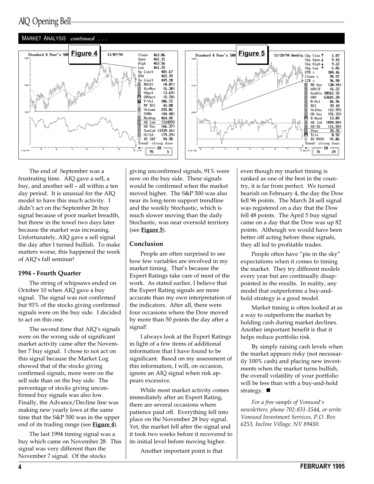### AIQ Opening Bell

#### MARKET ANALYSIS continued





The end of September was a frustrating time. AIQ gave a sell, a buy, and another sell - all within a ten day period. It is unusual for the AIQ model to have this much activity. I didn't act on the September 26 buy signal because of poor market breadth, but threw in the towel two days later because the market was increasing. Unfortunately, AIQ gave a sell signal the day after I turned bullish. To make matters worse, this happened the week of AIQ's fall seminar!

#### 1994 - Fourth Quarter

The string of whipsaws ended on October 10 when AIQ gave a buy signal. The signal was not confirmed but 93% of the stocks giving confirmed signals were on the buy side. I decided to act on this one.

The second time that AIQ's signals were on the wrong side of significant market activity came after the November 7 buy signal. I chose to not act on this signal because the Market Log showed that of the stocks giving confirmed signals, more were on the sell side than on the buy side. The percentage of stocks giving unconfirmed buy signals was also low. Finally, the Advance/Decline line was making new yearly lows at the same time that the S&P 500 was in the upper end of its trading range (see **Figure 4**).

The last 1994 timing signal was a buy which came on November 28. This signal was very different than the November 7 signal. Of the stocks

giving unconfirmed signals, 91% were now on the buy side. These signals would be confirmed when the market moved higher. The S&P 500 was also near its long-term support trendline and the weekly Stochastic, which is much slower moving than the daily Stochastic, was near oversold territory (see  $Figure 5$ ).

#### Conclusion

People are often surprised to see how few variables are involved in my market timing. That's because the Expert Ratings take care of most of the work. As stated earlier, I believe that the Expert Rating signals are more accurate than my own interpretation of the indicators. After all, there were four occasions where the Dow moved by more than 50 points the day after a signal!

I always look at the Expert Ratings in light of a few items of additional information that I have found to be significant. Based on my assessment of this information, I will, on occasion, ignore an AIQ signal when risk appears excessive.

While most market activity comes immediately after an Expert Rating, there are several occasions where patience paid off. Everything fell into place on the November 28 buy signal. Yet, the market fell after the signal and it took two weeks before it recovered to its initial level before moving higher.

Another important point is that

even though my market timing is ranked as one of the best in the country, it is far from perfect. We turned bearish on February 4, the day the Dow fell 96 points. The March 24 sell signal was registered on a day that the Dow fell 48 points. The April 5 buy signal came on a day that the Dow was up 82 points. Although we would have been better off acting before these signals, they all led to profitable trades.

People often have "pie in the sky" expectations when it comes to timing the market. They try different models every year but are continually disappointed in the results. In reality, any model that outperforms a buy-andhold strategy is a good model.

Market timing is often looked at as a way to outperform the market by holding cash during market declines. Another important benefit is that it helps reduce portfolio risk.

By simply raising cash levels when the market appears risky (not necessarily 100% cash) and placing new investments when the market turns bullish, the overall volatility of your portfolio will be less than with a buy-and-hold strategy.  $\blacksquare$ 

For a free sample of Vomund's newsletters, phone 702-831-1544, or write Vomund Investment Services, P.O. Box 6253, Incline Village, NV 89450.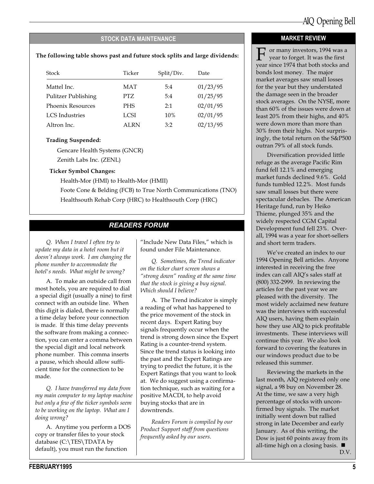#### STOCK DATA MAINTENANCE

### The following table shows past and future stock splits and large dividends:  $\mathbb{F}$  or many investors, 1994 was a

| Stock                      | Ticker      | Split/Div. | Date     |
|----------------------------|-------------|------------|----------|
| Mattel Inc.                | <b>MAT</b>  | 5:4        | 01/23/95 |
| <b>Pulitzer Publishing</b> | PTZ.        | 5:4        | 01/25/95 |
| <b>Phoenix Resources</b>   | <b>PHS</b>  | 2:1        | 02/01/95 |
| <b>LCS</b> Industries      | LCSI.       | 10%        | 02/01/95 |
| Altron Inc.                | <b>ALRN</b> | 3:2        | 02/13/95 |

#### Trading Suspended:

Gencare Health Systems (GNCR)

Zenith Labs Inc. (ZENL)

#### Ticker Symbol Changes:

Health-Mor (HMI) to Health-Mor (HMII)

Foote Cone & Belding (FCB) to True North Communications (TNO) Healthsouth Rehab Corp (HRC) to Healthsouth Corp (HRC)

### READERS FORUM

Q. When I travel I often try to update my data in a hotel room but it doesn't always work. I am changing the phone number to accommodate the hotel's needs. What might be wrong?

A. To make an outside call from most hotels, you are required to dial a special digit (usually a nine) to first connect with an outside line. When this digit is dialed, there is normally a time delay before your connection is made. If this time delay prevents the software from making a connection, you can enter a comma between the special digit and local network phone number. This comma inserts a pause, which should allow sufficient time for the connection to be made.

Q. I have transferred my data from my main computer to my laptop machine but only a few of the ticker symbols seem to be working on the laptop. What am I doing wrong?

A. Anytime you perform a DOS copy or transfer files to your stock database (C:\TES\TDATA by default), you must run the function

"Include New Data Files," which is found under File Maintenance.

Q. Sometimes, the Trend indicator on the ticker chart screen shows a "strong down" reading at the same time that the stock is giving a buy signal. Which should I believe?

A. The Trend indicator is simply a reading of what has happened to the price movement of the stock in recent days. Expert Rating buy signals frequently occur when the trend is strong down since the Expert Rating is a counter-trend system. Since the trend status is looking into the past and the Expert Ratings are trying to predict the future, it is the Expert Ratings that you want to look at. We do suggest using a confirmation technique, such as waiting for a positive MACDI, to help avoid buying stocks that are in downtrends.

Readers Forum is compiled by our Product Support staff from questions frequently asked by our users.

#### MARKET REVIEW

year to forget. It was the first year since 1974 that both stocks and bonds lost money. The major market averages saw small losses for the year but they understated the damage seen in the broader stock averages. On the NYSE, more than 60% of the issues were down at least 20% from their highs, and 40% were down more than more than 30% from their highs. Not surprisingly, the total return on the S&P500 outran 79% of all stock funds.

Diversification provided little refuge as the average Pacific Rim fund fell 12.1% and emerging market funds declined 9.6%. Gold funds tumbled 12.2%. Most funds saw small losses but there were spectacular debacles. The American Heritage fund, run by Heiko Thieme, plunged 35% and the widely respected CGM Capital Development fund fell 23%. Overall, 1994 was a year for short-sellers and short term traders.

We've created an index to our 1994 Opening Bell articles. Anyone interested in receiving the free index can call AIQ's sales staff at (800) 332-2999. In reviewing the articles for the past year we are pleased with the diversity. The most widely acclaimed new feature was the interviews with successful AIQ users, having them explain how they use AIQ to pick profitable investments. These interviews will continue this year. We also look forward to covering the features in our windows product due to be released this summer.

Reviewing the markets in the last month, AIQ registered only one signal, a 98 buy on November 28. At the time, we saw a very high percentage of stocks with unconfirmed buy signals. The market initially went down but rallied strong in late December and early January. As of this writing, the Dow is just 60 points away from its all-time high on a closing basis.  $\blacksquare$ D.V.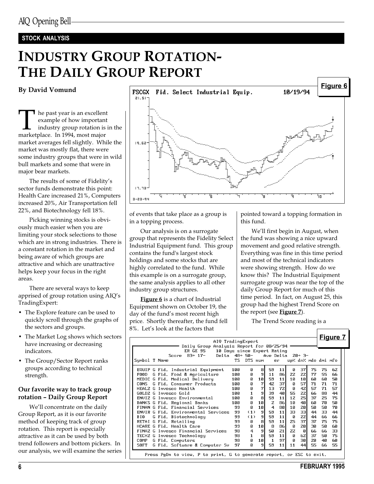#### STOCK ANALYSIS

## INDUSTRY GROUP ROTATION-THE DAILY GROUP REPORT

#### By David Vomund

The past year is an excellent<br>example of how important<br>industry group rotation is<br>marketplace. In 1994, most major example of how important industry group rotation is in the market averages fell slightly. While the market was mostly flat, there were some industry groups that were in wild bull markets and some that were in major bear markets.

The results of some of Fidelity's sector funds demonstrate this point: Health Care increased 21%, Computers increased 20%, Air Transportation fell 22%, and Biotechnology fell 18%.

Picking winning stocks is obviously much easier when you are limiting your stock selections to those which are in strong industries. There is a constant rotation in the market and being aware of which groups are attractive and which are unattractive helps keep your focus in the right areas.

There are several ways to keep apprised of group rotation using AIQ's TradingExpert:

- The Explore feature can be used to quickly scroll through the graphs of the sectors and groups.
- The Market Log shows which sectors have increasing or decreasing indicators.
- The Group/Sector Report ranks groups according to technical strength.

#### Our favorite way to track group rotation - Daily Group Report

We'll concentrate on the daily Group Report, as it is our favorite method of keeping track of group rotation. This report is especially attractive as it can be used by both trend followers and bottom pickers. In our analysis, we will examine the series



of events that take place as a group is in a topping process.

Our analysis is on a surrogate group that represents the Fidelity Select Industrial Equipment fund. This group contains the fund's largest stock holdings and some stocks that are highly correlated to the fund. While this example is on a surrogate group, the same analysis applies to all other industry group structures.

Figure 6 is a chart of Industrial Equipment shown on October 19, the day of the fund's most recent high price. Shortly thereafter, the fund fell 8%. Let's look at the factors that

pointed toward a topping formation in this fund.

We'll first begin in August, when the fund was showing a nice upward movement and good relative strength. Everything was fine in this time period and most of the technical indicators were showing strength. How do we know this? The Industrial Equipment surrogate group was near the top of the daily Group Report for much of this time period. In fact, on August 25, this group had the highest Trend Score on the report (see Figure 7).

The Trend Score reading is a

| AIQ TradingExpert<br>Daily Group Analysis Report for 08/25/94<br>ER GE 95     |                      | 10 Days since Expert Rating |                      |                    |          |                       |            |                     |          | <b>Figure 7</b> |
|-------------------------------------------------------------------------------|----------------------|-----------------------------|----------------------|--------------------|----------|-----------------------|------------|---------------------|----------|-----------------|
| Score<br>83+ 17-<br>Symbol T Name                                             | Delta 48+ 50-<br>TS. | DTS num                     |                      | Ave Delta<br>er    |          |                       | $20 + 3 -$ | up% dn% mdo dmi mfo |          |                 |
| EQUIP G Fid. Industrial Equipment<br>G Fid. Food & Agriculture<br><b>FOOD</b> | 100<br>100           | ø<br>ø                      | 8<br>9               | 59<br>11           | 11<br>86 | ø<br>ZZ               | 37<br>22   | 75<br>77            | 75<br>55 | 62<br>66        |
| MEDIC G Fid. Medical Delivery<br>G Fid. Consumer Products<br><b>CONS</b>      | 100<br>100           | Ŋ<br>ø                      | 10<br>$\overline{7}$ | 59<br>42           | 11<br>37 | 10<br><b>n</b>        | 10<br>57   | 60<br>71            | 60<br>71 | 50<br>71        |
| HEALZ G Invesco Health<br>GOLDZ G Invesco Gold                                | 100<br>100           | Ŋ<br>$\mathbf{1}$           | $\overline{7}$<br>9  | 13<br>39           | 72<br>40 | Ŋ<br>55               | 42<br>ZZ   | 57<br>66            | 71<br>88 | 57<br>44        |
| ENVIZ G Invesco Environmental<br>BANKS G Fid. Regional Banks                  | 100<br>100           | ø<br>ø                      | 8<br>10              | 59<br>z            | 11<br>86 | 12<br>10              | 25<br>40   | 37<br>60            | 25<br>70 | 75<br>50        |
| FINAN G Fid. Financial Services<br>ENVIR G Fid. Environmental Services        | 99<br>99             | Ŋ<br>(1)                    | 10<br>q              | 4<br>59            | 80<br>11 | 10<br>ЗЭ              | 20<br>33   | 50<br>44            | 50<br>33 | 70<br>44        |
| G Fid. Biotechnology<br>BIO<br>RETAI G Fid. Retailing                         | 99<br>99             | (1)<br>ø                    | 9<br>8               | 59<br>59           | 11<br>11 | <b>n</b><br><b>Z5</b> | 22<br>37   | 44<br>37            | 66<br>75 | 66<br>75        |
| HCARE G Fid. Health Care<br>FINAZ G Invesco Financial Services                | 99<br>98             | ø<br>$\overline{a}$         | 10<br>9              | 8<br>50            | 86<br>Z1 | ø<br>22               | 20<br>ø    | 30<br>66            | 50<br>66 | 60<br>ЗЗ        |
| TECHZ G Invesco Technology<br>G Fid. Computers<br>COMP                        | 98<br>98             | $\mathbf{1}$<br><b>N</b>    | 8<br>10              | 59<br>$\mathbf{1}$ | 11<br>97 | ø<br>Ŋ                | 6Z<br>30   | 37<br>20            | 50<br>40 | 75<br>60        |
| SOFT<br>G Fid. Software & Computer Sv                                         | 97                   | ø                           | 9                    | 59                 | 11       | 11                    | 44         | 55                  | 66       | 55              |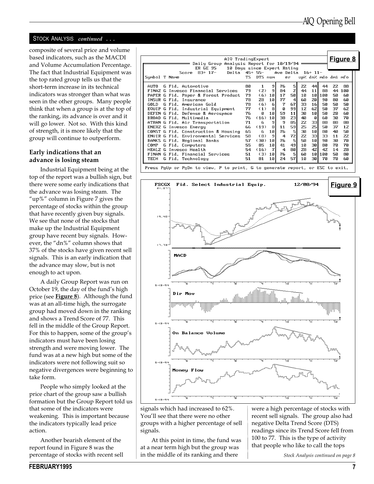#### STOCK ANALYSIS continued ...

composite of several price and volume based indicators, such as the MACDI and Volume Accumulation Percentage. The fact that Industrial Equipment was the top rated group tells us that the short-term increase in its technical indicators was stronger than what was seen in the other groups. Many people think that when a group is at the top of the ranking, its advance is over and it will go lower. Not so. With this kind of strength, it is more likely that the group will continue to outperform.

#### Early indications that an advance is losing steam

Industrial Equipment being at the top of the report was a bullish sign, but there were some early indications that the advance was losing steam. The "up%" column in Figure  $7$  gives the percentage of stocks within the group that have recently given buy signals. We see that none of the stocks that make up the Industrial Equipment group have recent buy signals. However, the " $dn\%$ " column shows that 37% of the stocks have given recent sell signals. This is an early indication that the advance may slow, but is not enough to act upon.

A daily Group Report was run on October 19, the day of the fund's high price (see  $Figure 8$ ). Although the fund was at an all-time high, the surrogate group had moved down in the ranking and shows a Trend Score of 77. This fell in the middle of the Group Report. For this to happen, some of the group's indicators must have been losing strength and were moving lower. The fund was at a new high but some of the indicators were not following suit so negative divergences were beginning to take form.

People who simply looked at the price chart of the group saw a bullish formation but the Group Report told us that some of the indicators were weakening. This is important because the indicators typically lead price action.

Another bearish element of the report found in Figure 8 was the percentage of stocks with recent sell

| AIQ TradingExpert<br>Analysis Report for $10/19/94 =$<br>Daily Group<br>10 Days since Expert Rating<br>ER GE 95 |    |         |                 |                    |                |    |                 |     |                     | <u>Figure 8</u> |  |
|-----------------------------------------------------------------------------------------------------------------|----|---------|-----------------|--------------------|----------------|----|-----------------|-----|---------------------|-----------------|--|
| $83+17-$<br>Delta 45+ 55-<br>Score<br>Symbol T Name                                                             | TS | DTS num |                 | Ave Delta $16+11-$ | er             |    |                 |     | up% dn% mdo dmi mfo |                 |  |
| AUTO<br>G Fid. Automotive                                                                                       | 80 | 1       | 9               | 76                 | 5              | 22 | 44              | 44  | ZZ                  | 88              |  |
| FINAZ G Invesco Financial Services                                                                              | 79 | (2)     | 9               | 84                 | Z              | 44 | 11              | 88  | 44                  | 100             |  |
| PAPER G Fid. Paper & Forest Product                                                                             | 79 | (6)     | 10              | 17                 | 50             | 10 | 10              | 100 | 50                  | 60              |  |
| INSUR G Fid. Insurance                                                                                          | 78 | 28      | 10 I            | 77                 | $\overline{a}$ | 60 | 20 <sub>l</sub> | 90  | 80                  | 60              |  |
| GOLD G Fid. American Gold                                                                                       | 78 | (6)     | 6               | 7                  | 67             | 33 | 16              | 50  | 50                  | 50              |  |
| EQUIP G Fid. Industrial Equipment                                                                               | 77 | (1)     | 8l              | $\mathbf{a}$       | 99             | 1Z | 62              | 50  | 37                  | 62              |  |
| DEFEN G Fid. Defense & Aerospace                                                                                | 76 | ø       | 10 I            | 59                 | 11             | 30 | 10              | 50  | 20                  | 60              |  |
| BROAD G Fid. Multimedia                                                                                         | 76 | (16)    | 10 <sup>1</sup> | 38                 | ZЗ             | 40 | ø               | 60  | эø                  | 70              |  |
| ATRAN G Fid. Air Transportation                                                                                 | 71 | 6       | $\mathbf{g}$    | 9                  | 85             | 22 | ээІ             | 88  | 88                  | 88              |  |
| ENERZ G Invesco Energy                                                                                          | 66 | (19)    | 8l              | 11                 | 59             | 25 | z5l             | 50  | 37                  | 1Z              |  |
| CONST G Fid. Construction & Housing                                                                             | 65 | 6.      | 10              | 76                 | 5              | 30 | 10              | 80  | 40                  | 50              |  |
| ENVIR G Fid. Environmental Services                                                                             | 58 | (B)     | 9               | 4                  | 72             | 22 | ээІ             | ЗЗ  | 11                  | 22              |  |
| BANKS G Fid. Regional Banks                                                                                     | 57 | (36)    | 10              | 76                 | 5              | 50 | 10              | 90  | 30                  | 70              |  |
| G Fid. Computers<br>COMP.                                                                                       | 55 | 85      | 10 I            | 41                 | 49             | 10 | 30 <sup>1</sup> | 80  | 70                  | 70              |  |
| HEALZ G Invesco Health                                                                                          | 54 | (16)    | $\overline{7}$  | 4                  | 80             | 28 | 42              | 42  | 14                  | 28              |  |
| FINAN G Fid. Financial Services                                                                                 | 51 | (3)     | 10              | 76                 | 5              | 60 | 10              | 100 | 50                  | 80              |  |
| TECH<br>G Fid. Technology                                                                                       | 51 | 81      | 10              | 24                 | 57             | 10 | 30              | 70  | 70                  | 60              |  |
| Press Pallo or Pallo to view. P to print. G to aeperate report, or ESC to exit.                                 |    |         |                 |                    |                |    |                 |     |                     |                 |  |



signals which had increased to 62%. You'll see that there were no other groups with a higher percentage of sell signals.

At this point in time, the fund was at a near term high but the group was in the middle of its ranking and there

were a high percentage of stocks with recent sell signals. The group also had negative Delta Trend Score (DTS) readings since its Trend Score fell from 100 to 77. This is the type of activity that people who like to call the tops

Stock Analysis continued on page 8